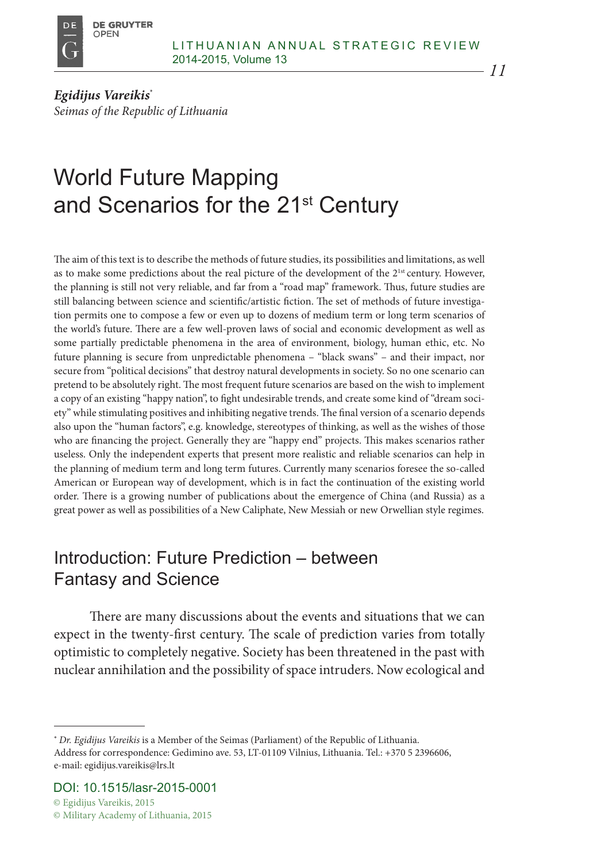

*Egidijus Vareikis*\* *Seimas of the Republic of Lithuania*

# World Future Mapping and Scenarios for the 21<sup>st</sup> Century

The aim of this text is to describe the methods of future studies, its possibilities and limitations, as well as to make some predictions about the real picture of the development of the 2<sup>1st</sup> century. However, the planning is still not very reliable, and far from a "road map" framework. Thus, future studies are still balancing between science and scientific/artistic fiction. The set of methods of future investigation permits one to compose a few or even up to dozens of medium term or long term scenarios of the world's future. There are a few well-proven laws of social and economic development as well as some partially predictable phenomena in the area of environment, biology, human ethic, etc. No future planning is secure from unpredictable phenomena – "black swans" – and their impact, nor secure from "political decisions" that destroy natural developments in society. So no one scenario can pretend to be absolutely right. The most frequent future scenarios are based on the wish to implement a copy of an existing "happy nation", to fight undesirable trends, and create some kind of "dream society" while stimulating positives and inhibiting negative trends. The final version of a scenario depends also upon the "human factors", e.g. knowledge, stereotypes of thinking, as well as the wishes of those who are financing the project. Generally they are "happy end" projects. This makes scenarios rather useless. Only the independent experts that present more realistic and reliable scenarios can help in the planning of medium term and long term futures. Currently many scenarios foresee the so-called American or European way of development, which is in fact the continuation of the existing world order. There is a growing number of publications about the emergence of China (and Russia) as a great power as well as possibilities of a New Caliphate, New Messiah or new Orwellian style regimes.

## Introduction: Future Prediction – between Fantasy and Science

There are many discussions about the events and situations that we can expect in the twenty-first century. The scale of prediction varies from totally optimistic to completely negative. Society has been threatened in the past with nuclear annihilation and the possibility of space intruders. Now ecological and

<sup>\*</sup> *Dr. Egidijus Vareikis* is a Member of the Seimas (Parliament) of the Republic of Lithuania. Address for correspondence: Gedimino ave. 53, LT-01109 Vilnius, Lithuania. Tel.: +370 5 2396606, e-mail: egidijus.vareikis@lrs.lt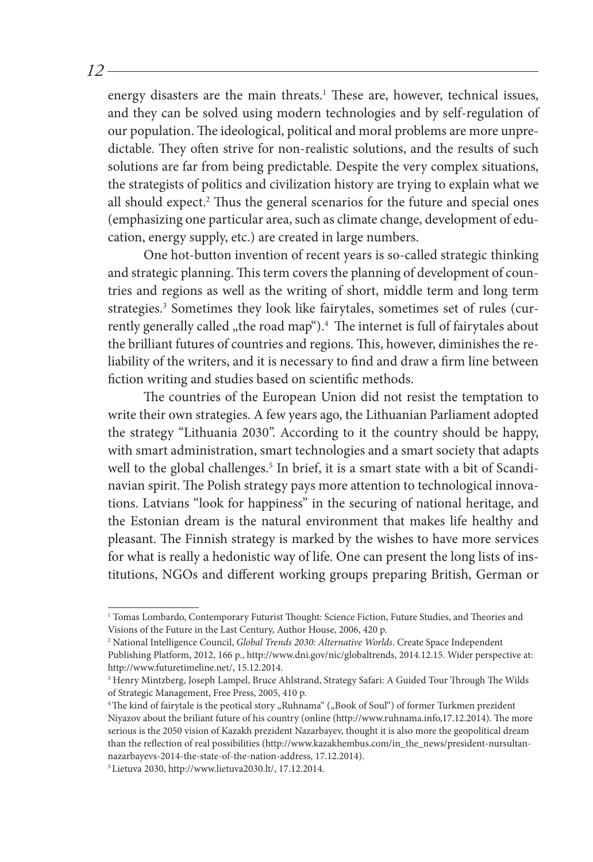energy disasters are the main threats.<sup>1</sup> These are, however, technical issues, and they can be solved using modern technologies and by self-regulation of our population. The ideological, political and moral problems are more unpredictable. They often strive for non-realistic solutions, and the results of such solutions are far from being predictable. Despite the very complex situations, the strategists of politics and civilization history are trying to explain what we all should expect.2 Thus the general scenarios for the future and special ones (emphasizing one particular area, such as climate change, development of education, energy supply, etc.) are created in large numbers.

One hot-button invention of recent years is so-called strategic thinking and strategic planning. This term covers the planning of development of countries and regions as well as the writing of short, middle term and long term strategies.<sup>3</sup> Sometimes they look like fairytales, sometimes set of rules (currently generally called "the road map").<sup>4</sup> The internet is full of fairytales about the brilliant futures of countries and regions. This, however, diminishes the reliability of the writers, and it is necessary to find and draw a firm line between fiction writing and studies based on scientific methods.

The countries of the European Union did not resist the temptation to write their own strategies. A few years ago, the Lithuanian Parliament adopted the strategy "Lithuania 2030". According to it the country should be happy, with smart administration, smart technologies and a smart society that adapts well to the global challenges.<sup>5</sup> In brief, it is a smart state with a bit of Scandinavian spirit. The Polish strategy pays more attention to technological innovations. Latvians "look for happiness" in the securing of national heritage, and the Estonian dream is the natural environment that makes life healthy and pleasant. The Finnish strategy is marked by the wishes to have more services for what is really a hedonistic way of life. One can present the long lists of institutions, NGOs and different working groups preparing British, German or

<sup>1</sup> Tomas Lombardo, Contemporary Futurist Thought: Science Fiction, Future Studies, and Theories and Visions of the Future in the Last Century, Author House, 2006, 420 p.

<sup>2</sup> National Intelligence Council, *Global Trends 2030: Alternative Worlds*. Create Space Independent Publishing Platform, 2012, 166 p., http://www.dni.gov/nic/globaltrends, 2014.12.15. Wider perspective at: http://www.futuretimeline.net/, 15.12.2014.

<sup>3</sup> Henry Mintzberg, Joseph Lampel, Bruce Ahlstrand, Strategy Safari: A Guided Tour Through The Wilds of Strategic Management, Free Press, 2005, 410 p.

<sup>&</sup>lt;sup>4</sup> The kind of fairytale is the peotical story "Ruhnama" ("Book of Soul") of former Turkmen prezident Niyazov about the briliant future of his country (online (http://www.ruhnama.info,17.12.2014). The more serious is the 2050 vision of Kazakh prezident Nazarbayev, thought it is also more the geopolitical dream than the reflection of real possibilities (http://www.kazakhembus.com/in\_the\_news/president-nursultannazarbayevs-2014-the-state-of-the-nation-address, 17.12.2014).

<sup>5</sup> Lietuva 2030, http://www.lietuva2030.lt/, 17.12.2014.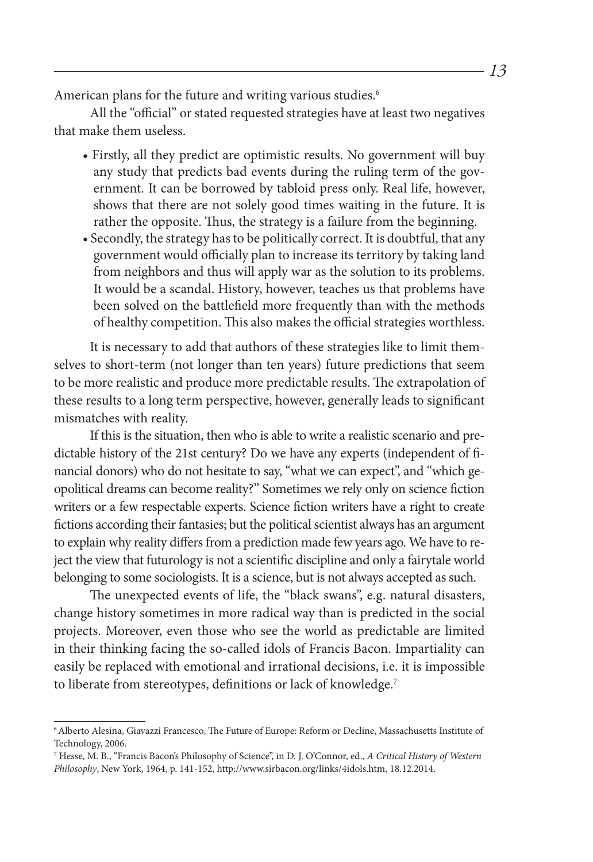American plans for the future and writing various studies.<sup>6</sup>

All the "official" or stated requested strategies have at least two negatives that make them useless.

- Firstly, all they predict are optimistic results. No government will buy any study that predicts bad events during the ruling term of the government. It can be borrowed by tabloid press only. Real life, however, shows that there are not solely good times waiting in the future. It is rather the opposite. Thus, the strategy is a failure from the beginning.
- Secondly, the strategy has to be politically correct. It is doubtful, that any government would officially plan to increase its territory by taking land from neighbors and thus will apply war as the solution to its problems. It would be a scandal. History, however, teaches us that problems have been solved on the battlefield more frequently than with the methods of healthy competition. This also makes the official strategies worthless.

It is necessary to add that authors of these strategies like to limit themselves to short-term (not longer than ten years) future predictions that seem to be more realistic and produce more predictable results. The extrapolation of these results to a long term perspective, however, generally leads to significant mismatches with reality.

If this is the situation, then who is able to write a realistic scenario and predictable history of the 21st century? Do we have any experts (independent of financial donors) who do not hesitate to say, "what we can expect", and "which geopolitical dreams can become reality?" Sometimes we rely only on science fiction writers or a few respectable experts. Science fiction writers have a right to create fictions according their fantasies; but the political scientist always has an argument to explain why reality differs from a prediction made few years ago. We have to reject the view that futurology is not a scientific discipline and only a fairytale world belonging to some sociologists. It is a science, but is not always accepted as such.

The unexpected events of life, the "black swans", e.g. natural disasters, change history sometimes in more radical way than is predicted in the social projects. Moreover, even those who see the world as predictable are limited in their thinking facing the so-called idols of Francis Bacon. Impartiality can easily be replaced with emotional and irrational decisions, i.e. it is impossible to liberate from stereotypes, definitions or lack of knowledge.<sup>7</sup>

<sup>6</sup>Alberto Alesina, Giavazzi Francesco, The Future of Europe: Reform or Decline, Massachusetts Institute of Technology, 2006.

<sup>7</sup> Hesse, M. B., "Francis Bacon's Philosophy of Science", in D. J. O'Connor, ed., *A Critical History of Western Philosophy*, New York, 1964, p. 141-152, http://www.sirbacon.org/links/4idols.htm, 18.12.2014.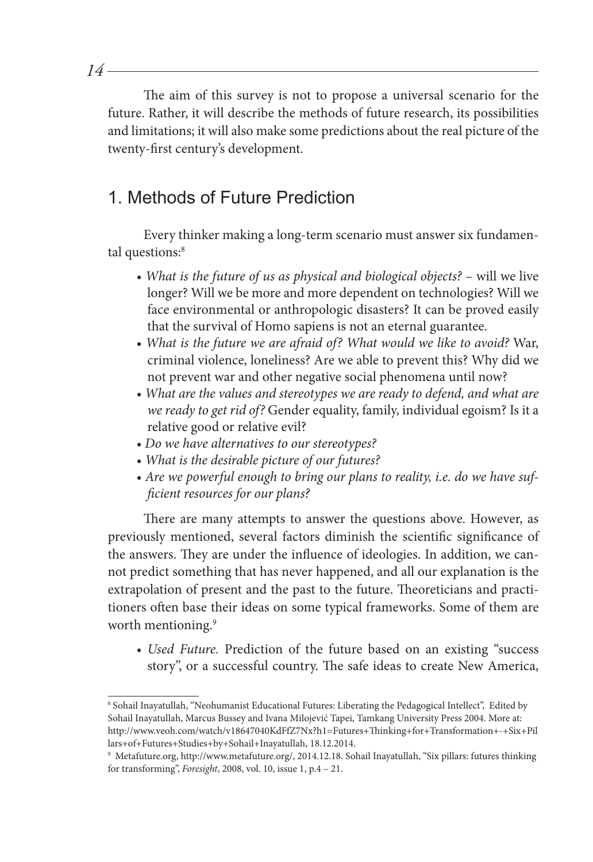The aim of this survey is not to propose a universal scenario for the future. Rather, it will describe the methods of future research, its possibilities and limitations; it will also make some predictions about the real picture of the twenty-first century's development.

## 1. Methods of Future Prediction

Every thinker making a long-term scenario must answer six fundamental questions:<sup>8</sup>

- What is the future of us as physical and biological objects? will we live longer? Will we be more and more dependent on technologies? Will we face environmental or anthropologic disasters? It can be proved easily that the survival of Homo sapiens is not an eternal guarantee.
- *What is the future we are afraid of? What would we like to avoid?* War, criminal violence, loneliness? Are we able to prevent this? Why did we not prevent war and other negative social phenomena until now?
- *What are the values and stereotypes we are ready to defend, and what are we ready to get rid of?* Gender equality, family, individual egoism? Is it a relative good or relative evil?
- *Do we have alternatives to our stereotypes?*
- *What is the desirable picture of our futures?*
- *Are we powerful enough to bring our plans to reality, i.e. do we have sufficient resources for our plans?*

There are many attempts to answer the questions above. However, as previously mentioned, several factors diminish the scientific significance of the answers. They are under the influence of ideologies. In addition, we cannot predict something that has never happened, and all our explanation is the extrapolation of present and the past to the future. Theoreticians and practitioners often base their ideas on some typical frameworks. Some of them are worth mentioning.<sup>9</sup>

*• Used Future.* Prediction of the future based on an existing "success story", or a successful country. The safe ideas to create New America,

<sup>8</sup> Sohail Inayatullah, "Neohumanist Educational Futures: Liberating the Pedagogical Intellect", Edited by Sohail Inayatullah, Marcus Bussey and Ivana Milojević Tapei, Tamkang University Press 2004. More at: http://www.veoh.com/watch/v18647040KdFfZ7Nx?h1=Futures+Thinking+for+Transformation+-+Six+Pil lars+of+Futures+Studies+by+Sohail+Inayatullah, 18.12.2014.

<sup>9</sup> Metafuture.org, http://www.metafuture.org/, 2014.12.18. Sohail Inayatullah, "Six pillars: futures thinking for transforming", *Foresight*, 2008, vol. 10, issue 1, p.4 – 21.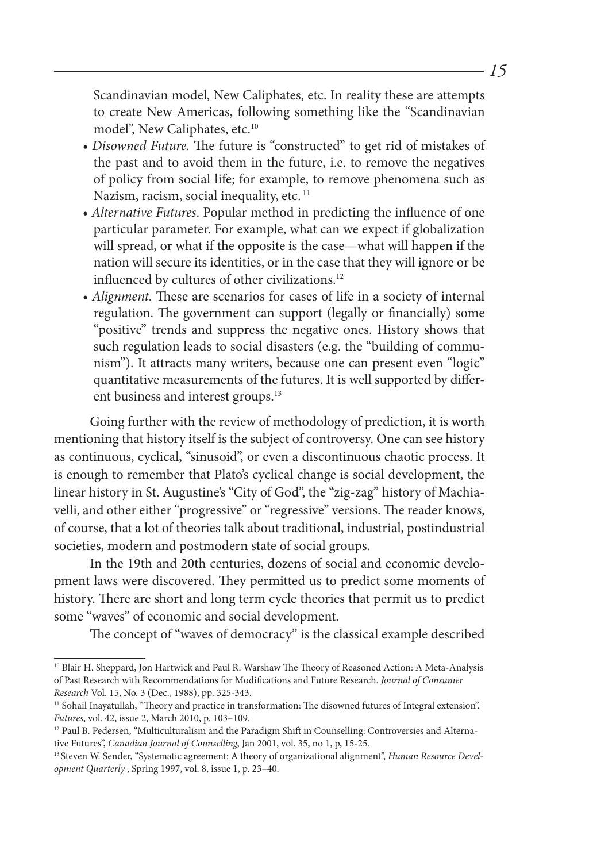Scandinavian model, New Caliphates, etc. In reality these are attempts to create New Americas, following something like the "Scandinavian model", New Caliphates, etc.<sup>10</sup>

- *Disowned Future.* The future is "constructed" to get rid of mistakes of the past and to avoid them in the future, i.e. to remove the negatives of policy from social life; for example, to remove phenomena such as Nazism, racism, social inequality, etc.<sup>11</sup>
- *Alternative Futures*. Popular method in predicting the influence of one particular parameter. For example, what can we expect if globalization will spread, or what if the opposite is the case—what will happen if the nation will secure its identities, or in the case that they will ignore or be influenced by cultures of other civilizations.<sup>12</sup>
- *Alignment*. These are scenarios for cases of life in a society of internal regulation. The government can support (legally or financially) some "positive" trends and suppress the negative ones. History shows that such regulation leads to social disasters (e.g. the "building of communism"). It attracts many writers, because one can present even "logic" quantitative measurements of the futures. It is well supported by different business and interest groups.<sup>13</sup>

Going further with the review of methodology of prediction, it is worth mentioning that history itself is the subject of controversy. One can see history as continuous, cyclical, "sinusoid", or even a discontinuous chaotic process. It is enough to remember that Plato's cyclical change is social development, the linear history in St. Augustine's "City of God", the "zig-zag" history of Machiavelli, and other either "progressive" or "regressive" versions. The reader knows, of course, that a lot of theories talk about traditional, industrial, postindustrial societies, modern and postmodern state of social groups.

In the 19th and 20th centuries, dozens of social and economic development laws were discovered. They permitted us to predict some moments of history. There are short and long term cycle theories that permit us to predict some "waves" of economic and social development.

The concept of "waves of democracy" is the classical example described

<sup>&</sup>lt;sup>10</sup> Blair H. Sheppard, Jon Hartwick and Paul R. Warshaw The Theory of Reasoned Action: A Meta-Analysis of Past Research with Recommendations for Modifications and Future Research. *Journal of Consumer Research* Vol. 15, No. 3 (Dec., 1988), pp. 325-343.

<sup>&</sup>lt;sup>11</sup> Sohail Inayatullah, "Theory and practice in transformation: The disowned futures of Integral extension". *Futures*, vol. 42, issue 2, March 2010, p. 103–109.

<sup>&</sup>lt;sup>12</sup> Paul B. Pedersen, "Multiculturalism and the Paradigm Shift in Counselling: Controversies and Alternative Futures", *Canadian Journal of Counselling*, Jan 2001, vol. 35, no 1, p, 15-25.

<sup>13</sup> Steven W. Sender, "Systematic agreement: A theory of organizational alignment", *Human Resource Development Quarterly* , Spring 1997, vol. 8, issue 1, p. 23–40.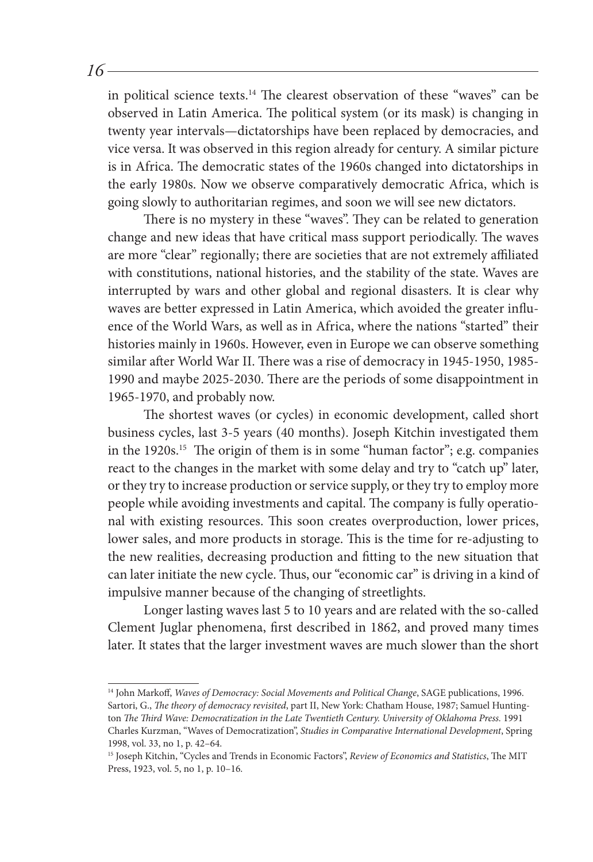in political science texts.14 The clearest observation of these "waves" can be observed in Latin America. The political system (or its mask) is changing in twenty year intervals—dictatorships have been replaced by democracies, and vice versa. It was observed in this region already for century. A similar picture is in Africa. The democratic states of the 1960s changed into dictatorships in the early 1980s. Now we observe comparatively democratic Africa, which is going slowly to authoritarian regimes, and soon we will see new dictators.

There is no mystery in these "waves". They can be related to generation change and new ideas that have critical mass support periodically. The waves are more "clear" regionally; there are societies that are not extremely affiliated with constitutions, national histories, and the stability of the state. Waves are interrupted by wars and other global and regional disasters. It is clear why waves are better expressed in Latin America, which avoided the greater influence of the World Wars, as well as in Africa, where the nations "started" their histories mainly in 1960s. However, even in Europe we can observe something similar after World War II. There was a rise of democracy in 1945-1950, 1985- 1990 and maybe 2025-2030. There are the periods of some disappointment in 1965-1970, and probably now.

The shortest waves (or cycles) in economic development, called short business cycles, last 3-5 years (40 months). Joseph Kitchin investigated them in the 1920s.15 The origin of them is in some "human factor"; e.g. companies react to the changes in the market with some delay and try to "catch up" later, or they try to increase production or service supply, or they try to employ more people while avoiding investments and capital. The company is fully operational with existing resources. This soon creates overproduction, lower prices, lower sales, and more products in storage. This is the time for re-adjusting to the new realities, decreasing production and fitting to the new situation that can later initiate the new cycle. Thus, our "economic car" is driving in a kind of impulsive manner because of the changing of streetlights.

Longer lasting waves last 5 to 10 years and are related with the so-called Clement Juglar phenomena, first described in 1862, and proved many times later. It states that the larger investment waves are much slower than the short

<sup>14</sup> John Markoff, *Waves of Democracy: Social Movements and Political Change*, SAGE publications, 1996. Sartori, G., *The theory of democracy revisited*, part II, New York: Chatham House, 1987; Samuel Huntington *The Third Wave: Democratization in the Late Twentieth Century. University of Oklahoma Press.* 1991 Charles Kurzman, "Waves of Democratization", *Studies in Comparative International Development*, Spring 1998, vol. 33, no 1, p. 42–64.

<sup>15</sup> Joseph Kitchin, "Cycles and Trends in Economic Factors", *Review of Economics and Statistics*, The MIT Press, 1923, vol. 5, no 1, p. 10–16.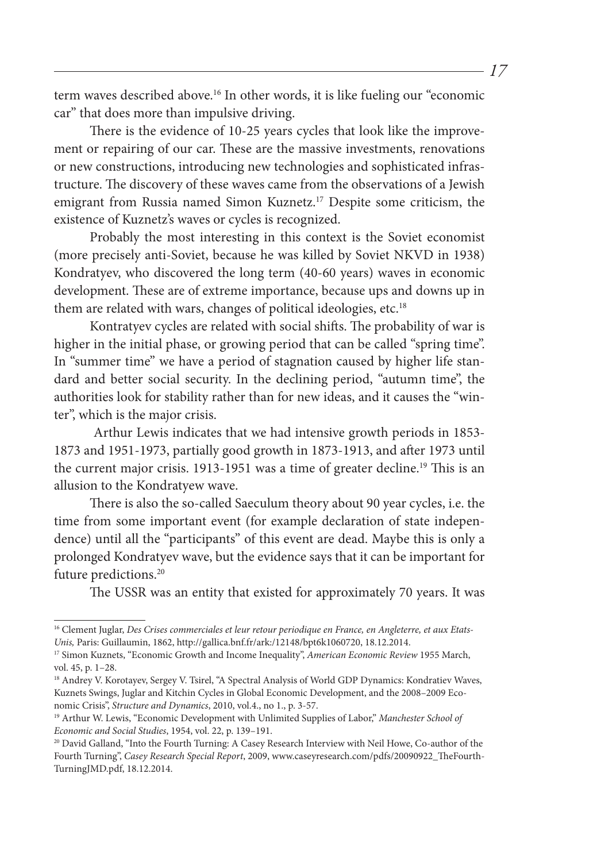term waves described above.16 In other words, it is like fueling our "economic car" that does more than impulsive driving.

There is the evidence of 10-25 years cycles that look like the improvement or repairing of our car. These are the massive investments, renovations or new constructions, introducing new technologies and sophisticated infrastructure. The discovery of these waves came from the observations of a Jewish emigrant from Russia named Simon Kuznetz.17 Despite some criticism, the existence of Kuznetz's waves or cycles is recognized.

Probably the most interesting in this context is the Soviet economist (more precisely anti-Soviet, because he was killed by Soviet NKVD in 1938) Kondratyev, who discovered the long term (40-60 years) waves in economic development. These are of extreme importance, because ups and downs up in them are related with wars, changes of political ideologies, etc.<sup>18</sup>

Kontratyev cycles are related with social shifts. The probability of war is higher in the initial phase, or growing period that can be called "spring time". In "summer time" we have a period of stagnation caused by higher life standard and better social security. In the declining period, "autumn time", the authorities look for stability rather than for new ideas, and it causes the "winter", which is the major crisis.

 Arthur Lewis indicates that we had intensive growth periods in 1853- 1873 and 1951-1973, partially good growth in 1873-1913, and after 1973 until the current major crisis. 1913-1951 was a time of greater decline.<sup>19</sup> This is an allusion to the Kondratyew wave.

There is also the so-called Saeculum theory about 90 year cycles, i.e. the time from some important event (for example declaration of state independence) until all the "participants" of this event are dead. Maybe this is only a prolonged Kondratyev wave, but the evidence says that it can be important for future predictions.<sup>20</sup>

The USSR was an entity that existed for approximately 70 years. It was

<sup>&</sup>lt;sup>16</sup> Clement Juglar, Des Crises commerciales et leur retour periodique en France, en Angleterre, et aux Etats-*Unis,* Paris: Guillaumin, 1862, http://gallica.bnf.fr/ark:/12148/bpt6k1060720, 18.12.2014.

<sup>17</sup> Simon Kuznets, "Economic Growth and Income Inequality", *American Economic Review* 1955 March, vol. 45, p. 1–28.

<sup>&</sup>lt;sup>18</sup> Andrey V. Korotayev, Sergey V. Tsirel, "A Spectral Analysis of World GDP Dynamics: Kondratiev Waves, Kuznets Swings, Juglar and Kitchin Cycles in Global Economic Development, and the 2008–2009 Economic Crisis", *Structure and Dynamics*, 2010, vol.4., no 1., p. 3-57.

<sup>19</sup> Arthur W. Lewis, "Economic Development with Unlimited Supplies of Labor," *Manchester School of Economic and Social Studies*, 1954, vol. 22, p. 139–191.

<sup>20</sup> David Galland, "Into the Fourth Turning: A Casey Research Interview with Neil Howe, Co-author of the Fourth Turning", *Casey Research Special Report*, 2009, www.caseyresearch.com/pdfs/20090922\_TheFourth-TurningJMD.pdf, 18.12.2014.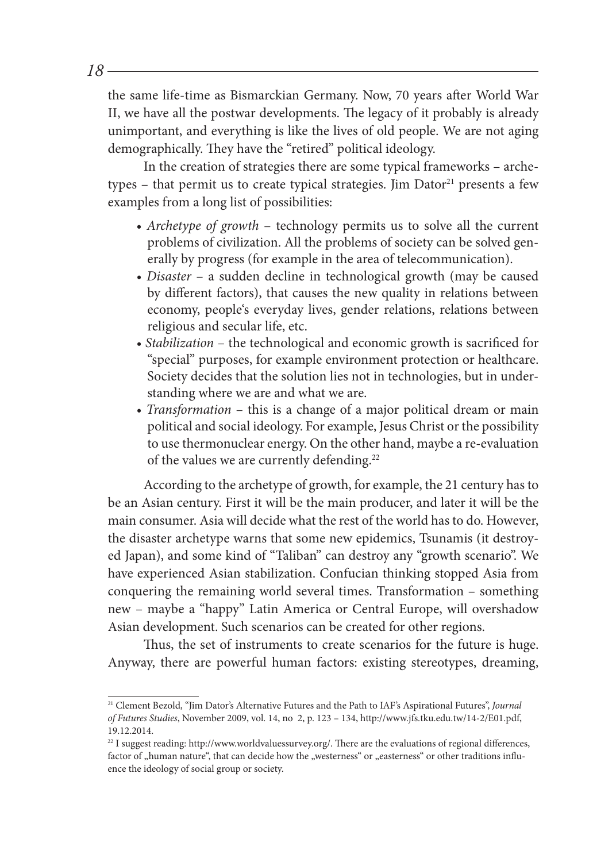the same life-time as Bismarckian Germany. Now, 70 years after World War II, we have all the postwar developments. The legacy of it probably is already unimportant, and everything is like the lives of old people. We are not aging demographically. They have the "retired" political ideology.

In the creation of strategies there are some typical frameworks – archetypes – that permit us to create typical strategies. Jim  $Dator<sup>21</sup>$  presents a few examples from a long list of possibilities:

- *Archetype of growth* technology permits us to solve all the current problems of civilization. All the problems of society can be solved generally by progress (for example in the area of telecommunication).
- *Disaster* a sudden decline in technological growth (may be caused by different factors), that causes the new quality in relations between economy, people's everyday lives, gender relations, relations between religious and secular life, etc.
- *Stabilization* the technological and economic growth is sacrificed for "special" purposes, for example environment protection or healthcare. Society decides that the solution lies not in technologies, but in understanding where we are and what we are.
- *Transformation* this is a change of a major political dream or main political and social ideology. For example, Jesus Christ or the possibility to use thermonuclear energy. On the other hand, maybe a re-evaluation of the values we are currently defending.<sup>22</sup>

According to the archetype of growth, for example, the 21 century has to be an Asian century. First it will be the main producer, and later it will be the main consumer. Asia will decide what the rest of the world has to do. However, the disaster archetype warns that some new epidemics, Tsunamis (it destroyed Japan), and some kind of "Taliban" can destroy any "growth scenario". We have experienced Asian stabilization. Confucian thinking stopped Asia from conquering the remaining world several times. Transformation – something new – maybe a "happy" Latin America or Central Europe, will overshadow Asian development. Such scenarios can be created for other regions.

Thus, the set of instruments to create scenarios for the future is huge. Anyway, there are powerful human factors: existing stereotypes, dreaming,

<sup>21</sup> Clement Bezold, "Jim Dator's Alternative Futures and the Path to IAF's Aspirational Futures", *Journal of Futures Studies*, November 2009, vol. 14, no 2, p. 123 – 134, http://www.jfs.tku.edu.tw/14-2/E01.pdf, 19.12.2014.

<sup>&</sup>lt;sup>22</sup> I suggest reading: http://www.worldvaluessurvey.org/. There are the evaluations of regional differences, factor of "human nature", that can decide how the "westerness" or "easterness" or other traditions influence the ideology of social group or society.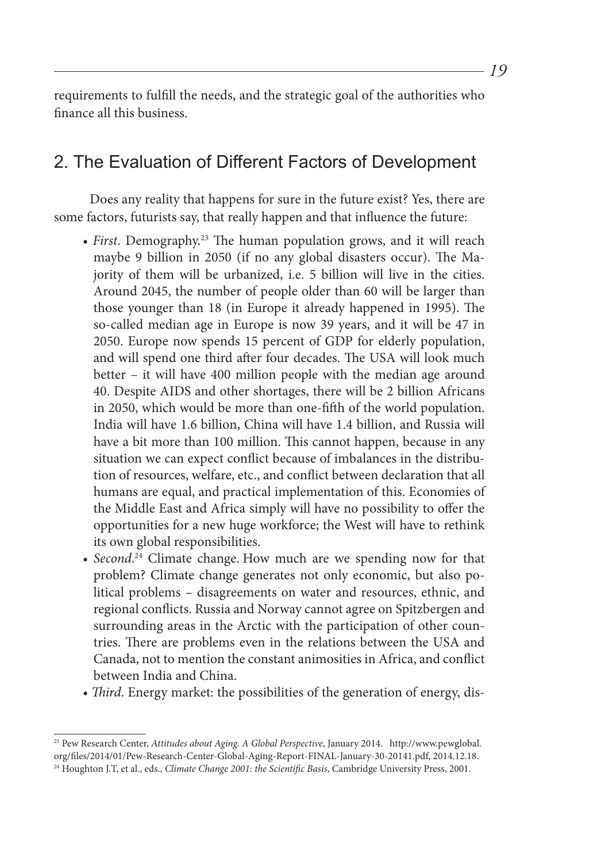requirements to fulfill the needs, and the strategic goal of the authorities who finance all this business.

### 2. The Evaluation of Different Factors of Development

Does any reality that happens for sure in the future exist? Yes, there are some factors, futurists say, that really happen and that influence the future:

- *First*. Demography.23 The human population grows, and it will reach maybe 9 billion in 2050 (if no any global disasters occur). The Majority of them will be urbanized, i.e. 5 billion will live in the cities. Around 2045, the number of people older than 60 will be larger than those younger than 18 (in Europe it already happened in 1995). The so-called median age in Europe is now 39 years, and it will be 47 in 2050. Europe now spends 15 percent of GDP for elderly population, and will spend one third after four decades. The USA will look much better – it will have 400 million people with the median age around 40. Despite AIDS and other shortages, there will be 2 billion Africans in 2050, which would be more than one-fifth of the world population. India will have 1.6 billion, China will have 1.4 billion, and Russia will have a bit more than 100 million. This cannot happen, because in any situation we can expect conflict because of imbalances in the distribution of resources, welfare, etc., and conflict between declaration that all humans are equal, and practical implementation of this. Economies of the Middle East and Africa simply will have no possibility to offer the opportunities for a new huge workforce; the West will have to rethink its own global responsibilities.
- *Second*. 24 Climate change. How much are we spending now for that problem? Climate change generates not only economic, but also political problems – disagreements on water and resources, ethnic, and regional conflicts. Russia and Norway cannot agree on Spitzbergen and surrounding areas in the Arctic with the participation of other countries. There are problems even in the relations between the USA and Canada, not to mention the constant animosities in Africa, and conflict between India and China.
- *Third*. Energy market: the possibilities of the generation of energy, dis-

<sup>23</sup> Pew Research Center, *Attitudes about Aging. A Global Perspective*, January 2014. http://www.pewglobal. org/files/2014/01/Pew-Research-Center-Global-Aging-Report-FINAL-January-30-20141.pdf, 2014.12.18. 24 Houghton J.T, et al., eds., *Climate Change 2001: the Scientific Basis*, Cambridge University Press, 2001.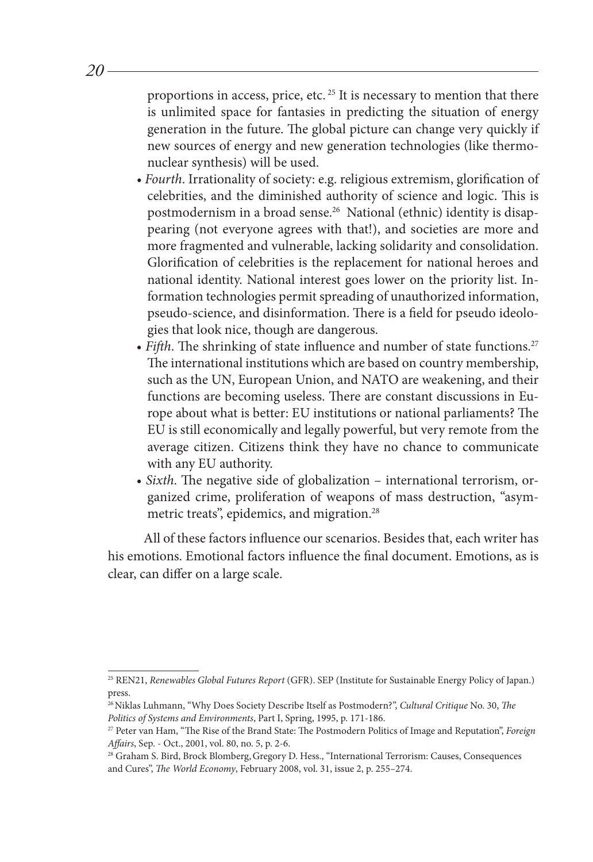proportions in access, price, etc. 25 It is necessary to mention that there is unlimited space for fantasies in predicting the situation of energy generation in the future. The global picture can change very quickly if new sources of energy and new generation technologies (like thermonuclear synthesis) will be used.

- *Fourth*. Irrationality of society: e.g. religious extremism, glorification of celebrities, and the diminished authority of science and logic. This is postmodernism in a broad sense.26 National (ethnic) identity is disappearing (not everyone agrees with that!), and societies are more and more fragmented and vulnerable, lacking solidarity and consolidation. Glorification of celebrities is the replacement for national heroes and national identity. National interest goes lower on the priority list. Information technologies permit spreading of unauthorized information, pseudo-science, and disinformation. There is a field for pseudo ideologies that look nice, though are dangerous.
- Fifth. The shrinking of state influence and number of state functions.<sup>27</sup> The international institutions which are based on country membership, such as the UN, European Union, and NATO are weakening, and their functions are becoming useless. There are constant discussions in Europe about what is better: EU institutions or national parliaments? The EU is still economically and legally powerful, but very remote from the average citizen. Citizens think they have no chance to communicate with any EU authority.
- *Sixth*. The negative side of globalization international terrorism, organized crime, proliferation of weapons of mass destruction, "asymmetric treats", epidemics, and migration.<sup>28</sup>

All of these factors influence our scenarios. Besides that, each writer has his emotions. Emotional factors influence the final document. Emotions, as is clear, can differ on a large scale.

<sup>25</sup> REN21, *Renewables Global Futures Report* (GFR). SEP (Institute for Sustainable Energy Policy of Japan.) press.

<sup>&</sup>lt;sup>26</sup> Niklas Luhmann, "Why Does Society Describe Itself as Postmodern?", *Cultural Critique* No. 30, *The Politics of Systems and Environments*, Part I, Spring, 1995, p. 171-186.

<sup>27</sup> Peter van Ham, "The Rise of the Brand State: The Postmodern Politics of Image and Reputation", *Foreign Affairs*, Sep. - Oct., 2001, vol. 80, no. 5, p. 2-6.

<sup>&</sup>lt;sup>28</sup> Graham S. Bird, Brock Blomberg, Gregory D. Hess., "International Terrorism: Causes, Consequences and Cures", *The World Economy*, February 2008, vol. 31, issue 2, p. 255–274.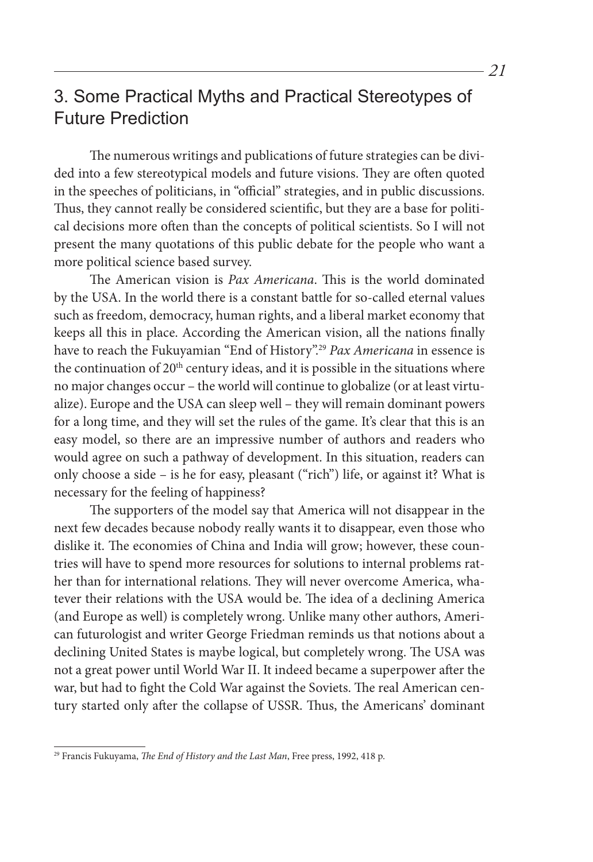## 3. Some Practical Myths and Practical Stereotypes of Future Prediction

The numerous writings and publications of future strategies can be divided into a few stereotypical models and future visions. They are often quoted in the speeches of politicians, in "official" strategies, and in public discussions. Thus, they cannot really be considered scientific, but they are a base for political decisions more often than the concepts of political scientists. So I will not present the many quotations of this public debate for the people who want a more political science based survey.

The American vision is *Pax Americana*. This is the world dominated by the USA. In the world there is a constant battle for so-called eternal values such as freedom, democracy, human rights, and a liberal market economy that keeps all this in place. According the American vision, all the nations finally have to reach the Fukuyamian "End of History".29 *Pax Americana* in essence is the continuation of  $20<sup>th</sup>$  century ideas, and it is possible in the situations where no major changes occur – the world will continue to globalize (or at least virtualize). Europe and the USA can sleep well – they will remain dominant powers for a long time, and they will set the rules of the game. It's clear that this is an easy model, so there are an impressive number of authors and readers who would agree on such a pathway of development. In this situation, readers can only choose a side – is he for easy, pleasant ("rich") life, or against it? What is necessary for the feeling of happiness?

The supporters of the model say that America will not disappear in the next few decades because nobody really wants it to disappear, even those who dislike it. The economies of China and India will grow; however, these countries will have to spend more resources for solutions to internal problems rather than for international relations. They will never overcome America, whatever their relations with the USA would be. The idea of a declining America (and Europe as well) is completely wrong. Unlike many other authors, American futurologist and writer George Friedman reminds us that notions about a declining United States is maybe logical, but completely wrong. The USA was not a great power until World War II. It indeed became a superpower after the war, but had to fight the Cold War against the Soviets. The real American century started only after the collapse of USSR. Thus, the Americans' dominant

<sup>29</sup> Francis Fukuyama, *The End of History and the Last Man*, Free press, 1992, 418 p.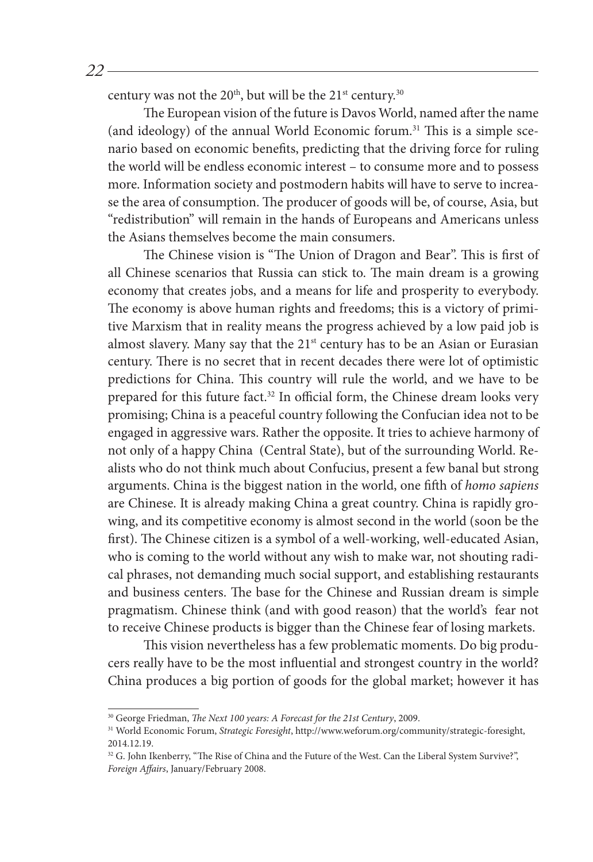century was not the  $20<sup>th</sup>$ , but will be the  $21<sup>st</sup>$  century.<sup>30</sup>

The European vision of the future is Davos World, named after the name (and ideology) of the annual World Economic forum.31 This is a simple scenario based on economic benefits, predicting that the driving force for ruling the world will be endless economic interest – to consume more and to possess more. Information society and postmodern habits will have to serve to increase the area of consumption. The producer of goods will be, of course, Asia, but "redistribution" will remain in the hands of Europeans and Americans unless the Asians themselves become the main consumers.

The Chinese vision is "The Union of Dragon and Bear". This is first of all Chinese scenarios that Russia can stick to. The main dream is a growing economy that creates jobs, and a means for life and prosperity to everybody. The economy is above human rights and freedoms; this is a victory of primitive Marxism that in reality means the progress achieved by a low paid job is almost slavery. Many say that the 21<sup>st</sup> century has to be an Asian or Eurasian century. There is no secret that in recent decades there were lot of optimistic predictions for China. This country will rule the world, and we have to be prepared for this future fact.<sup>32</sup> In official form, the Chinese dream looks very promising; China is a peaceful country following the Confucian idea not to be engaged in aggressive wars. Rather the opposite. It tries to achieve harmony of not only of a happy China (Central State), but of the surrounding World. Realists who do not think much about Confucius, present a few banal but strong arguments. China is the biggest nation in the world, one fifth of *homo sapiens* are Chinese. It is already making China a great country. China is rapidly growing, and its competitive economy is almost second in the world (soon be the first). The Chinese citizen is a symbol of a well-working, well-educated Asian, who is coming to the world without any wish to make war, not shouting radical phrases, not demanding much social support, and establishing restaurants and business centers. The base for the Chinese and Russian dream is simple pragmatism. Chinese think (and with good reason) that the world's fear not to receive Chinese products is bigger than the Chinese fear of losing markets.

This vision nevertheless has a few problematic moments. Do big producers really have to be the most influential and strongest country in the world? China produces a big portion of goods for the global market; however it has

<sup>30</sup> George Friedman, *The Next 100 years: A Forecast for the 21st Century*, 2009.

<sup>31</sup> World Economic Forum, *Strategic Foresight*, http://www.weforum.org/community/strategic-foresight, 2014.12.19.

<sup>&</sup>lt;sup>32</sup> G. John Ikenberry, "The Rise of China and the Future of the West. Can the Liberal System Survive?", *Foreign Affairs*, January/February 2008.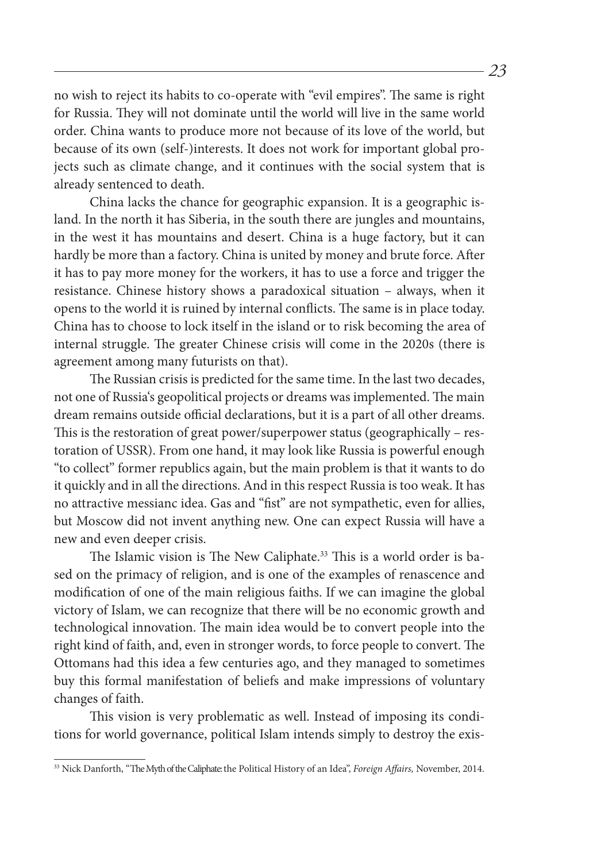no wish to reject its habits to co-operate with "evil empires". The same is right for Russia. They will not dominate until the world will live in the same world order. China wants to produce more not because of its love of the world, but because of its own (self-)interests. It does not work for important global projects such as climate change, and it continues with the social system that is already sentenced to death.

China lacks the chance for geographic expansion. It is a geographic island. In the north it has Siberia, in the south there are jungles and mountains, in the west it has mountains and desert. China is a huge factory, but it can hardly be more than a factory. China is united by money and brute force. After it has to pay more money for the workers, it has to use a force and trigger the resistance. Chinese history shows a paradoxical situation – always, when it opens to the world it is ruined by internal conflicts. The same is in place today. China has to choose to lock itself in the island or to risk becoming the area of internal struggle. The greater Chinese crisis will come in the 2020s (there is agreement among many futurists on that).

The Russian crisis is predicted for the same time. In the last two decades, not one of Russia's geopolitical projects or dreams was implemented. The main dream remains outside official declarations, but it is a part of all other dreams. This is the restoration of great power/superpower status (geographically – restoration of USSR). From one hand, it may look like Russia is powerful enough "to collect" former republics again, but the main problem is that it wants to do it quickly and in all the directions. And in this respect Russia is too weak. It has no attractive messianc idea. Gas and "fist" are not sympathetic, even for allies, but Moscow did not invent anything new. One can expect Russia will have a new and even deeper crisis.

The Islamic vision is The New Caliphate.<sup>33</sup> This is a world order is based on the primacy of religion, and is one of the examples of renascence and modification of one of the main religious faiths. If we can imagine the global victory of Islam, we can recognize that there will be no economic growth and technological innovation. The main idea would be to convert people into the right kind of faith, and, even in stronger words, to force people to convert. The Ottomans had this idea a few centuries ago, and they managed to sometimes buy this formal manifestation of beliefs and make impressions of voluntary changes of faith.

This vision is very problematic as well. Instead of imposing its conditions for world governance, political Islam intends simply to destroy the exis-

<sup>33</sup> Nick Danforth, "The Myth of the Caliphate: the Political History of an Idea", *Foreign Affairs,* November, 2014.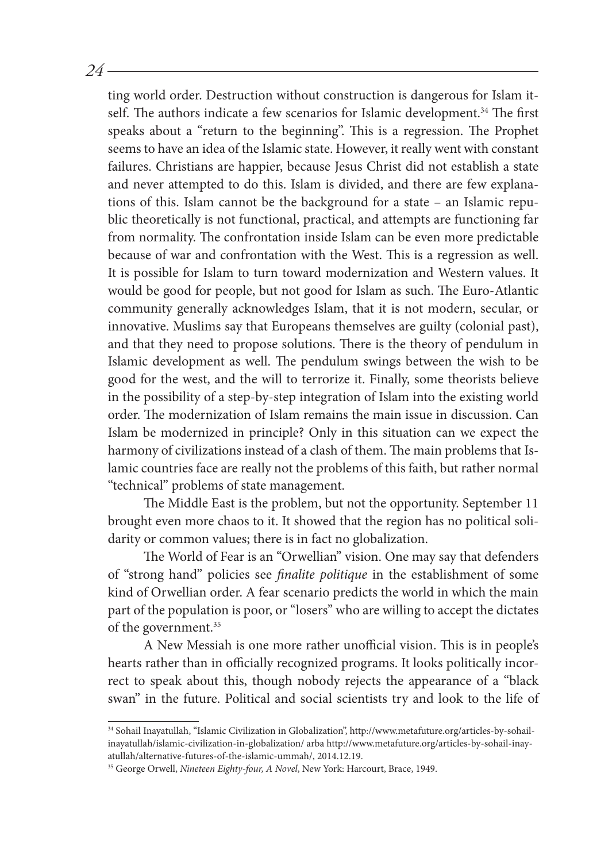ting world order. Destruction without construction is dangerous for Islam itself. The authors indicate a few scenarios for Islamic development.<sup>34</sup> The first speaks about a "return to the beginning". This is a regression. The Prophet seems to have an idea of the Islamic state. However, it really went with constant failures. Christians are happier, because Jesus Christ did not establish a state and never attempted to do this. Islam is divided, and there are few explanations of this. Islam cannot be the background for a state – an Islamic republic theoretically is not functional, practical, and attempts are functioning far from normality. The confrontation inside Islam can be even more predictable because of war and confrontation with the West. This is a regression as well. It is possible for Islam to turn toward modernization and Western values. It would be good for people, but not good for Islam as such. The Euro-Atlantic community generally acknowledges Islam, that it is not modern, secular, or innovative. Muslims say that Europeans themselves are guilty (colonial past), and that they need to propose solutions. There is the theory of pendulum in Islamic development as well. The pendulum swings between the wish to be good for the west, and the will to terrorize it. Finally, some theorists believe in the possibility of a step-by-step integration of Islam into the existing world order. The modernization of Islam remains the main issue in discussion. Can Islam be modernized in principle? Only in this situation can we expect the harmony of civilizations instead of a clash of them. The main problems that Islamic countries face are really not the problems of this faith, but rather normal "technical" problems of state management.

*24*

The Middle East is the problem, but not the opportunity. September 11 brought even more chaos to it. It showed that the region has no political solidarity or common values; there is in fact no globalization.

The World of Fear is an "Orwellian" vision. One may say that defenders of "strong hand" policies see *finalite politique* in the establishment of some kind of Orwellian order. A fear scenario predicts the world in which the main part of the population is poor, or "losers" who are willing to accept the dictates of the government.<sup>35</sup>

A New Messiah is one more rather unofficial vision. This is in people's hearts rather than in officially recognized programs. It looks politically incorrect to speak about this, though nobody rejects the appearance of a "black swan" in the future. Political and social scientists try and look to the life of

<sup>34</sup> Sohail Inayatullah, "Islamic Civilization in Globalization", http://www.metafuture.org/articles-by-sohailinayatullah/islamic-civilization-in-globalization/ arba http://www.metafuture.org/articles-by-sohail-inayatullah/alternative-futures-of-the-islamic-ummah/, 2014.12.19.

<sup>35</sup> George Orwell, *Nineteen Eighty-four, A Novel*, New York: Harcourt, Brace, 1949.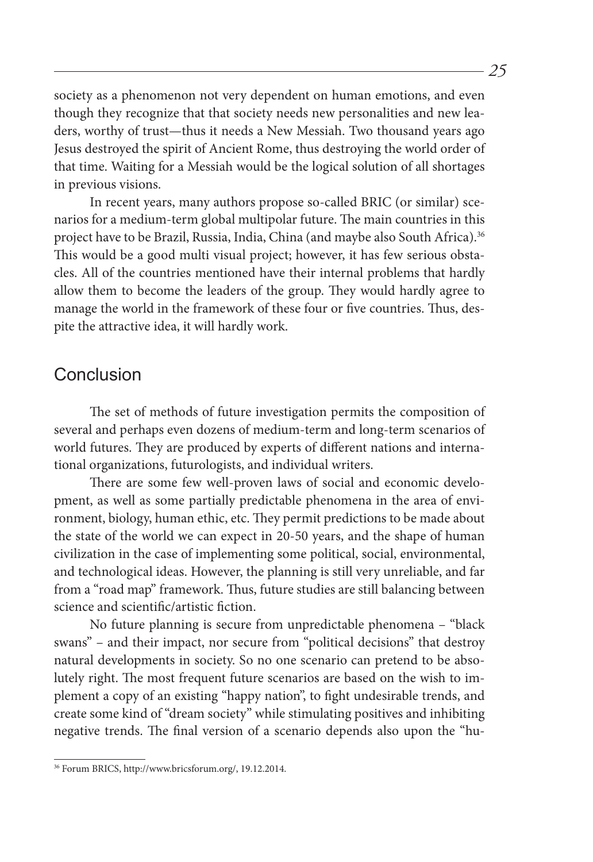society as a phenomenon not very dependent on human emotions, and even though they recognize that that society needs new personalities and new leaders, worthy of trust—thus it needs a New Messiah. Two thousand years ago Jesus destroyed the spirit of Ancient Rome, thus destroying the world order of that time. Waiting for a Messiah would be the logical solution of all shortages in previous visions.

In recent years, many authors propose so-called BRIC (or similar) scenarios for a medium-term global multipolar future. The main countries in this project have to be Brazil, Russia, India, China (and maybe also South Africa).<sup>36</sup> This would be a good multi visual project; however, it has few serious obstacles. All of the countries mentioned have their internal problems that hardly allow them to become the leaders of the group. They would hardly agree to manage the world in the framework of these four or five countries. Thus, despite the attractive idea, it will hardly work.

#### Conclusion

The set of methods of future investigation permits the composition of several and perhaps even dozens of medium-term and long-term scenarios of world futures. They are produced by experts of different nations and international organizations, futurologists, and individual writers.

There are some few well-proven laws of social and economic development, as well as some partially predictable phenomena in the area of environment, biology, human ethic, etc. They permit predictions to be made about the state of the world we can expect in 20-50 years, and the shape of human civilization in the case of implementing some political, social, environmental, and technological ideas. However, the planning is still very unreliable, and far from a "road map" framework. Thus, future studies are still balancing between science and scientific/artistic fiction.

No future planning is secure from unpredictable phenomena – "black swans" – and their impact, nor secure from "political decisions" that destroy natural developments in society. So no one scenario can pretend to be absolutely right. The most frequent future scenarios are based on the wish to implement a copy of an existing "happy nation", to fight undesirable trends, and create some kind of "dream society" while stimulating positives and inhibiting negative trends. The final version of a scenario depends also upon the "hu-

<sup>36</sup> Forum BRICS, http://www.bricsforum.org/, 19.12.2014.